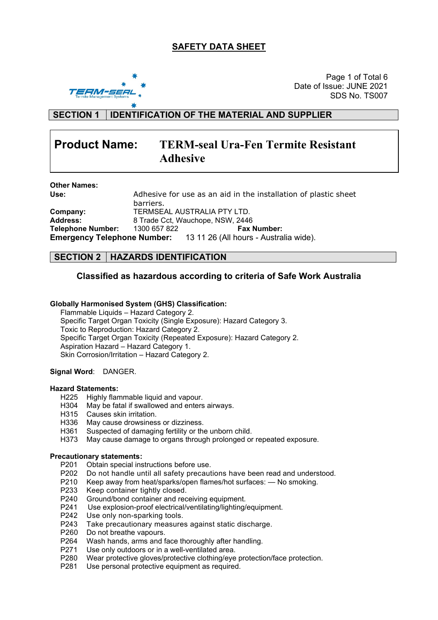# **SAFETY DATA SHEET**



Page 1 of Total 6 Date of Issue: JUNE 2021 SDS No. TS007

**SECTION 1 IDENTIFICATION OF THE MATERIAL AND SUPPLIER**

# **Product Name: TERM-seal Ura-Fen Termite Resistant Adhesive**

| <b>Other Names:</b>      |                             |                                                                           |  |  |
|--------------------------|-----------------------------|---------------------------------------------------------------------------|--|--|
| Use:                     |                             | Adhesive for use as an aid in the installation of plastic sheet           |  |  |
|                          | barriers.                   |                                                                           |  |  |
| Company:                 | TERMSEAL AUSTRALIA PTY LTD. |                                                                           |  |  |
| <b>Address:</b>          |                             | 8 Trade Cct, Wauchope, NSW, 2446                                          |  |  |
| <b>Telephone Number:</b> | 1300 657 822                | <b>Fax Number:</b>                                                        |  |  |
|                          |                             | <b>Emergency Telephone Number:</b> 13 11 26 (All hours - Australia wide). |  |  |

## **SECTION 2 HAZARDS IDENTIFICATION**

## **Classified as hazardous according to criteria of Safe Work Australia**

#### **Globally Harmonised System (GHS) Classification:**

Flammable Liquids – Hazard Category 2. Specific Target Organ Toxicity (Single Exposure): Hazard Category 3. Toxic to Reproduction: Hazard Category 2. Specific Target Organ Toxicity (Repeated Exposure): Hazard Category 2. Aspiration Hazard – Hazard Category 1. Skin Corrosion/Irritation – Hazard Category 2.

#### **Signal Word**: DANGER.

#### **Hazard Statements:**

- H225 Highly flammable liquid and vapour.
- H304 May be fatal if swallowed and enters airways.
- H315 Causes skin irritation.
- H336 May cause drowsiness or dizziness.
- H361 Suspected of damaging fertility or the unborn child.
- H373 May cause damage to organs through prolonged or repeated exposure.

#### **Precautionary statements:**

- P201 Obtain special instructions before use.
- P202 Do not handle until all safety precautions have been read and understood.
- P210 Keep away from heat/sparks/open flames/hot surfaces: No smoking.
- P233 Keep container tightly closed.
- P240 Ground/bond container and receiving equipment.<br>P241 Use explosion-proof electrical/ventilating/lighting/
- Use explosion-proof electrical/ventilating/lighting/equipment.
- P242 Use only non-sparking tools.<br>P243 Take precautionary measure
- Take precautionary measures against static discharge.
- P260 Do not breathe vapours.
- P264 Wash hands, arms and face thoroughly after handling.
- P271 Use only outdoors or in a well-ventilated area.
- P280 Wear protective gloves/protective clothing/eye protection/face protection.
- P281 Use personal protective equipment as required.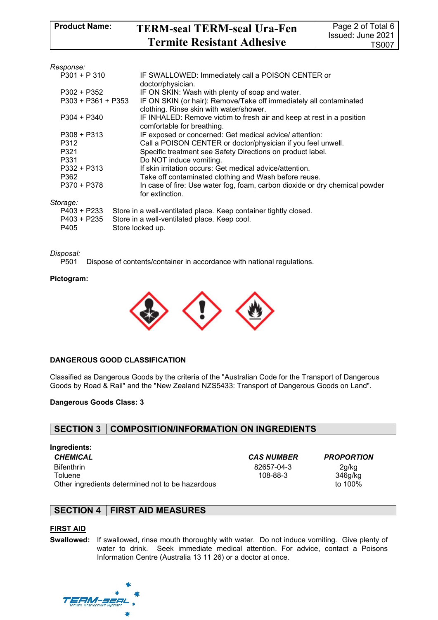| Response:            |                                                                                                     |
|----------------------|-----------------------------------------------------------------------------------------------------|
| $P301 + P310$        | IF SWALLOWED: Immediately call a POISON CENTER or                                                   |
|                      | doctor/physician.                                                                                   |
| P302 + P352          | IF ON SKIN: Wash with plenty of soap and water.                                                     |
| $P303 + P361 + P353$ | IF ON SKIN (or hair): Remove/Take off immediately all contaminated                                  |
|                      | clothing. Rinse skin with water/shower.                                                             |
| P304 + P340          | IF INHALED: Remove victim to fresh air and keep at rest in a position<br>comfortable for breathing. |
| $P308 + P313$        | IF exposed or concerned: Get medical advice/ attention:                                             |
| P312                 | Call a POISON CENTER or doctor/physician if you feel unwell.                                        |
| P321                 | Specific treatment see Safety Directions on product label.                                          |
| P331                 | Do NOT induce vomiting.                                                                             |
| $P332 + P313$        | If skin irritation occurs: Get medical advice/attention.                                            |
| P362                 | Take off contaminated clothing and Wash before reuse.                                               |
| P370 + P378          | In case of fire: Use water fog, foam, carbon dioxide or dry chemical powder                         |
|                      | for extinction.                                                                                     |
| Storage:             |                                                                                                     |
| P403 + P233          | Store in a well-ventilated place. Keep container tightly closed.                                    |
| P403 + P235          | Store in a well-ventilated place. Keep cool.                                                        |
| P405                 | Store locked up.                                                                                    |

# *Disposal:*

Dispose of contents/container in accordance with national regulations.

#### **Pictogram:**



#### **DANGEROUS GOOD CLASSIFICATION**

Classified as Dangerous Goods by the criteria of the "Australian Code for the Transport of Dangerous Goods by Road & Rail" and the "New Zealand NZS5433: Transport of Dangerous Goods on Land".

#### **Dangerous Goods Class: 3**

## **SECTION 3 COMPOSITION/INFORMATION ON INGREDIENTS**

#### **Ingredients:**

*CHEMICAL CAS NUMBER PROPORTION* Bifenthrin **Toluene** Other ingredients determined not to be hazardous

82657-04-3 108-88-3

2g/kg 346g/kg<br>to 100%

## **SECTION 4 FIRST AID MEASURES**

#### **FIRST AID**

**Swallowed:** If swallowed, rinse mouth thoroughly with water. Do not induce vomiting. Give plenty of water to drink. Seek immediate medical attention. For advice, contact a Poisons Information Centre (Australia 13 11 26) or a doctor at once.

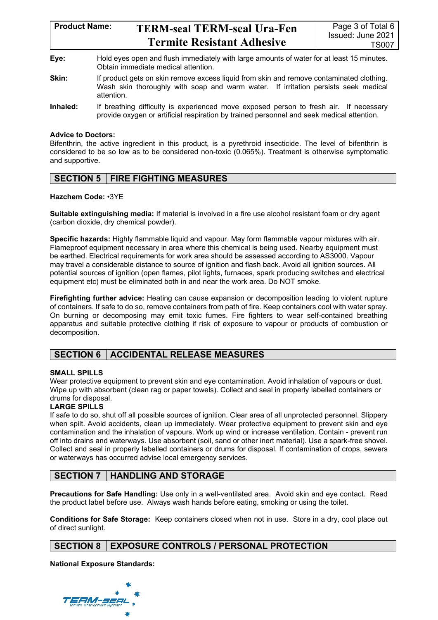# **Product Name: TERM-seal TERM-seal Ura-Fen Termite Resistant Adhesive**

- **Eye:** Hold eyes open and flush immediately with large amounts of water for at least 15 minutes. Obtain immediate medical attention.
- **Skin:** If product gets on skin remove excess liquid from skin and remove contaminated clothing. Wash skin thoroughly with soap and warm water. If irritation persists seek medical attention.
- **Inhaled:** If breathing difficulty is experienced move exposed person to fresh air. If necessary provide oxygen or artificial respiration by trained personnel and seek medical attention.

#### **Advice to Doctors:**

Bifenthrin, the active ingredient in this product, is a pyrethroid insecticide. The level of bifenthrin is considered to be so low as to be considered non-toxic (0.065%). Treatment is otherwise symptomatic and supportive.

# **SECTION 5 FIRE FIGHTING MEASURES**

#### **Hazchem Code:** •3YE

**Suitable extinguishing media:** If material is involved in a fire use alcohol resistant foam or dry agent (carbon dioxide, dry chemical powder).

**Specific hazards:** Highly flammable liquid and vapour. May form flammable vapour mixtures with air. Flameproof equipment necessary in area where this chemical is being used. Nearby equipment must be earthed. Electrical requirements for work area should be assessed according to AS3000. Vapour may travel a considerable distance to source of ignition and flash back. Avoid all ignition sources. All potential sources of ignition (open flames, pilot lights, furnaces, spark producing switches and electrical equipment etc) must be eliminated both in and near the work area. Do NOT smoke.

**Firefighting further advice:** Heating can cause expansion or decomposition leading to violent rupture of containers. If safe to do so, remove containers from path of fire. Keep containers cool with water spray. On burning or decomposing may emit toxic fumes. Fire fighters to wear self-contained breathing apparatus and suitable protective clothing if risk of exposure to vapour or products of combustion or decomposition.

# **SECTION 6 ACCIDENTAL RELEASE MEASURES**

#### **SMALL SPILLS**

Wear protective equipment to prevent skin and eye contamination. Avoid inhalation of vapours or dust. Wipe up with absorbent (clean rag or paper towels). Collect and seal in properly labelled containers or drums for disposal.

## **LARGE SPILLS**

If safe to do so, shut off all possible sources of ignition. Clear area of all unprotected personnel. Slippery when spilt. Avoid accidents, clean up immediately. Wear protective equipment to prevent skin and eye contamination and the inhalation of vapours. Work up wind or increase ventilation. Contain - prevent run off into drains and waterways. Use absorbent (soil, sand or other inert material). Use a spark-free shovel. Collect and seal in properly labelled containers or drums for disposal. If contamination of crops, sewers or waterways has occurred advise local emergency services.

# **SECTION 7 HANDLING AND STORAGE**

**Precautions for Safe Handling:** Use only in a well-ventilated area. Avoid skin and eye contact. Read the product label before use. Always wash hands before eating, smoking or using the toilet.

**Conditions for Safe Storage:** Keep containers closed when not in use. Store in a dry, cool place out of direct sunlight.

# **SECTION 8 EXPOSURE CONTROLS / PERSONAL PROTECTION**

**National Exposure Standards:**

17M-5681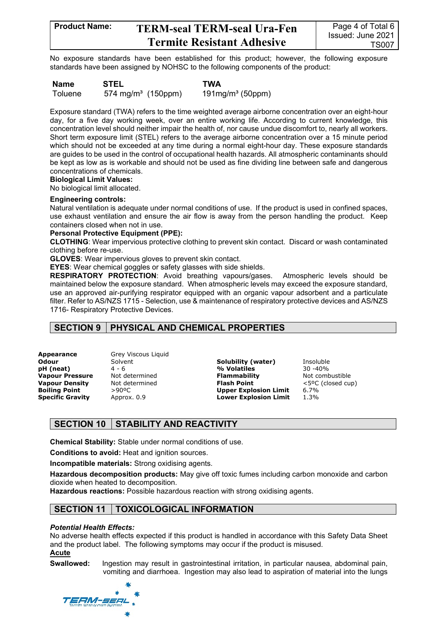# **Product Name: TERM-seal TERM-seal Ura-Fen Termite Resistant Adhesive**

No exposure standards have been established for this product; however, the following exposure standards have been assigned by NOHSC to the following components of the product:

**Name STEL TWA** Toluene  $574 \text{ mg/m}^3$  (150ppm)  $191 \text{mg/m}^3$  (50ppm)

Exposure standard (TWA) refers to the time weighted average airborne concentration over an eight-hour day, for a five day working week, over an entire working life. According to current knowledge, this concentration level should neither impair the health of, nor cause undue discomfort to, nearly all workers. Short term exposure limit (STEL) refers to the average airborne concentration over a 15 minute period which should not be exceeded at any time during a normal eight-hour day. These exposure standards are guides to be used in the control of occupational health hazards. All atmospheric contaminants should be kept as low as is workable and should not be used as fine dividing line between safe and dangerous concentrations of chemicals.

# **Biological Limit Values:**

No biological limit allocated.

#### **Engineering controls:**

Natural ventilation is adequate under normal conditions of use. If the product is used in confined spaces, use exhaust ventilation and ensure the air flow is away from the person handling the product. Keep containers closed when not in use.

#### **Personal Protective Equipment (PPE):**

**CLOTHING**: Wear impervious protective clothing to prevent skin contact. Discard or wash contaminated clothing before re-use.

**GLOVES**: Wear impervious gloves to prevent skin contact.

**EYES**: Wear chemical goggles or safety glasses with side shields.

**RESPIRATORY PROTECTION**: Avoid breathing vapours/gases. Atmospheric levels should be maintained below the exposure standard. When atmospheric levels may exceed the exposure standard, use an approved air-purifying respirator equipped with an organic vapour adsorbent and a particulate filter. Refer to AS/NZS 1715 - Selection, use & maintenance of respiratory protective devices and AS/NZS 1716- Respiratory Protective Devices.

# **SECTION 9 PHYSICAL AND CHEMICAL PROPERTIES**

**Vapour Pressure** Not determined **Flammability Combustible Combustible**<br> **Vapour Density** Not determined **Flash Point** 

**Appearance** Grey Viscous Liquid

**Odour** Solvent Solubility (water) Insoluble<br> **nH** (neat)  $4 - 6$  **Solubility (water)** Insoluble **pH (neat)** 4 - 6 **% Volatiles** 30 -40% **Vapour Density** Not determined **Flash Point** <5°C (closed cup)<br> **Boiling Point** >90°C **Deper Explosion Limit** 6.7% **Boiling Point** >90ºC **Upper Explosion Limit** 6.7% Approx. 0.9 **Lower Explosion Limit** 

# **SECTION 10 STABILITY AND REACTIVITY**

**Chemical Stability:** Stable under normal conditions of use.

**Conditions to avoid:** Heat and ignition sources.

**Incompatible materials:** Strong oxidising agents.

**Hazardous decomposition products:** May give off toxic fumes including carbon monoxide and carbon dioxide when heated to decomposition.

**Hazardous reactions:** Possible hazardous reaction with strong oxidising agents.

# **SECTION 11 TOXICOLOGICAL INFORMATION**

#### *Potential Health Effects:*

No adverse health effects expected if this product is handled in accordance with this Safety Data Sheet and the product label. The following symptoms may occur if the product is misused. **Acute**

**Swallowed:** Ingestion may result in gastrointestinal irritation, in particular nausea, abdominal pain, vomiting and diarrhoea. Ingestion may also lead to aspiration of material into the lungs

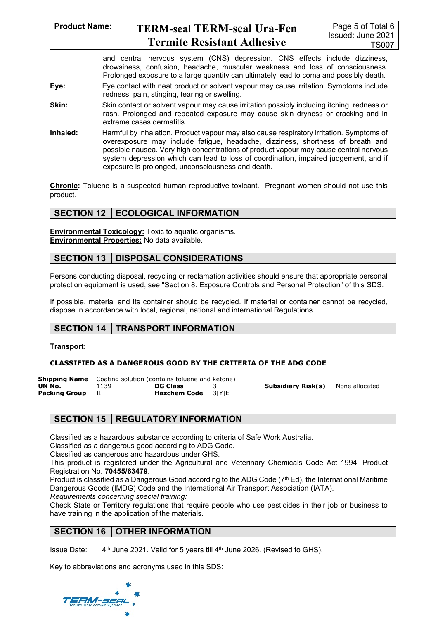#### **Product Name: TERM-seal TERM-seal Ura-Fen Termite Resistant Adhesive** Page 5 of Total 6 Issued: June 2021 TS007

and central nervous system (CNS) depression. CNS effects include dizziness, drowsiness, confusion, headache, muscular weakness and loss of consciousness. Prolonged exposure to a large quantity can ultimately lead to coma and possibly death.

- **Eye:** Eye contact with neat product or solvent vapour may cause irritation. Symptoms include redness, pain, stinging, tearing or swelling.
- **Skin:** Skin contact or solvent vapour may cause irritation possibly including itching, redness or rash. Prolonged and repeated exposure may cause skin dryness or cracking and in extreme cases dermatitis
- **Inhaled:** Harmful by inhalation. Product vapour may also cause respiratory irritation. Symptoms of overexposure may include fatigue, headache, dizziness, shortness of breath and possible nausea. Very high concentrations of product vapour may cause central nervous system depression which can lead to loss of coordination, impaired judgement, and if exposure is prolonged, unconsciousness and death.

**Chronic:** Toluene is a suspected human reproductive toxicant. Pregnant women should not use this product.

# **SECTION 12 | ECOLOGICAL INFORMATION**

**Environmental Toxicology:** Toxic to aquatic organisms. **Environmental Properties:** No data available.

# **SECTION 13 DISPOSAL CONSIDERATIONS**

Persons conducting disposal, recycling or reclamation activities should ensure that appropriate personal protection equipment is used, see "Section 8. Exposure Controls and Personal Protection" of this SDS.

If possible, material and its container should be recycled. If material or container cannot be recycled, dispose in accordance with local, regional, national and international Regulations.

# **SECTION 14 TRANSPORT INFORMATION**

**Transport:**

## **CLASSIFIED AS A DANGEROUS GOOD BY THE CRITERIA OF THE ADG CODE**

|               | <b>Shipping Name</b> Coating solution (contains toluene and ketone) |                           |  |                    |                |
|---------------|---------------------------------------------------------------------|---------------------------|--|--------------------|----------------|
| UN No.        | 1139                                                                | <b>DG Class</b>           |  | Subsidiary Risk(s) | None allocated |
| Packing Group |                                                                     | <b>Hazchem Code</b> 3[Y]E |  |                    |                |

# **SECTION 15 REGULATORY INFORMATION**

Classified as a hazardous substance according to criteria of Safe Work Australia.

Classified as a dangerous good according to ADG Code.

Classified as dangerous and hazardous under GHS.

This product is registered under the Agricultural and Veterinary Chemicals Code Act 1994. Product Registration No. **70455/63479**.

Product is classified as a Dangerous Good according to the ADG Code (7<sup>th</sup> Ed), the International Maritime Dangerous Goods (IMDG) Code and the International Air Transport Association (IATA).

*Requirements concerning special training:*

Check State or Territory regulations that require people who use pesticides in their job or business to have training in the application of the materials.

# **SECTION 16 OTHER INFORMATION**

Issue Date:  $4<sup>th</sup>$  June 2021. Valid for 5 years till  $4<sup>th</sup>$  June 2026. (Revised to GHS).

Key to abbreviations and acronyms used in this SDS: